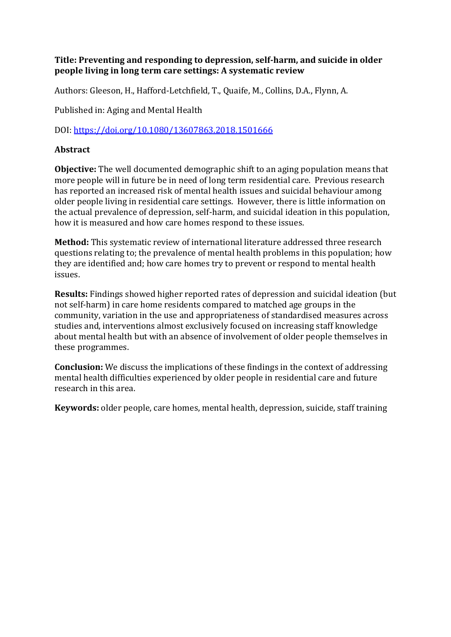### **Title: Preventing and responding to depression, self-harm, and suicide in older people living in long term care settings: A systematic review**

Authors: Gleeson, H., Hafford-Letchfield, T., Quaife, M., Collins, D.A., Flynn, A.

Published in: Aging and Mental Health

DOI:<https://doi.org/10.1080/13607863.2018.1501666>

### **Abstract**

**Objective:** The well documented demographic shift to an aging population means that more people will in future be in need of long term residential care. Previous research has reported an increased risk of mental health issues and suicidal behaviour among older people living in residential care settings. However, there is little information on the actual prevalence of depression, self-harm, and suicidal ideation in this population, how it is measured and how care homes respond to these issues.

**Method:** This systematic review of international literature addressed three research questions relating to; the prevalence of mental health problems in this population; how they are identified and; how care homes try to prevent or respond to mental health issues.

**Results:** Findings showed higher reported rates of depression and suicidal ideation (but not self-harm) in care home residents compared to matched age groups in the community, variation in the use and appropriateness of standardised measures across studies and, interventions almost exclusively focused on increasing staff knowledge about mental health but with an absence of involvement of older people themselves in these programmes.

**Conclusion:** We discuss the implications of these findings in the context of addressing mental health difficulties experienced by older people in residential care and future research in this area.

**Keywords:** older people, care homes, mental health, depression, suicide, staff training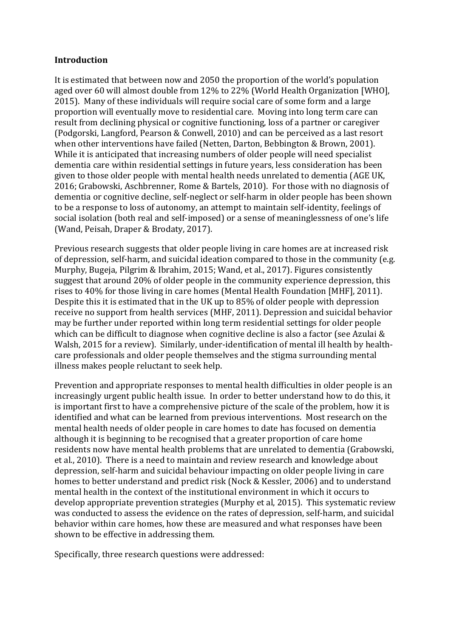#### **Introduction**

It is estimated that between now and 2050 the proportion of the world's population aged over 60 will almost double from 12% to 22% (World Health Organization [WHO], 2015). Many of these individuals will require social care of some form and a large proportion will eventually move to residential care. Moving into long term care can result from declining physical or cognitive functioning, loss of a partner or caregiver (Podgorski, Langford, Pearson & Conwell, 2010) and can be perceived as a last resort when other interventions have failed (Netten, Darton, Bebbington & Brown, 2001). While it is anticipated that increasing numbers of older people will need specialist dementia care within residential settings in future years, less consideration has been given to those older people with mental health needs unrelated to dementia (AGE UK, 2016; Grabowski, Aschbrenner, Rome & Bartels, 2010). For those with no diagnosis of dementia or cognitive decline, self-neglect or self-harm in older people has been shown to be a response to loss of autonomy, an attempt to maintain self-identity, feelings of social isolation (both real and self-imposed) or a sense of meaninglessness of one's life (Wand, Peisah, Draper & Brodaty, 2017).

Previous research suggests that older people living in care homes are at increased risk of depression, self-harm, and suicidal ideation compared to those in the community (e.g. Murphy, Bugeja, Pilgrim & Ibrahim, 2015; Wand, et al., 2017). Figures consistently suggest that around 20% of older people in the community experience depression, this rises to 40% for those living in care homes (Mental Health Foundation [MHF], 2011). Despite this it is estimated that in the UK up to 85% of older people with depression receive no support from health services (MHF, 2011). Depression and suicidal behavior may be further under reported within long term residential settings for older people which can be difficult to diagnose when cognitive decline is also a factor (see Azulai & Walsh, 2015 for a review). Similarly, under-identification of mental ill health by healthcare professionals and older people themselves and the stigma surrounding mental illness makes people reluctant to seek help.

Prevention and appropriate responses to mental health difficulties in older people is an increasingly urgent public health issue. In order to better understand how to do this, it is important first to have a comprehensive picture of the scale of the problem, how it is identified and what can be learned from previous interventions. Most research on the mental health needs of older people in care homes to date has focused on dementia although it is beginning to be recognised that a greater proportion of care home residents now have mental health problems that are unrelated to dementia (Grabowski, et al., 2010). There is a need to maintain and review research and knowledge about depression, self-harm and suicidal behaviour impacting on older people living in care homes to better understand and predict risk (Nock & Kessler, 2006) and to understand mental health in the context of the institutional environment in which it occurs to develop appropriate prevention strategies (Murphy et al, 2015). This systematic review was conducted to assess the evidence on the rates of depression, self-harm, and suicidal behavior within care homes, how these are measured and what responses have been shown to be effective in addressing them.

Specifically, three research questions were addressed: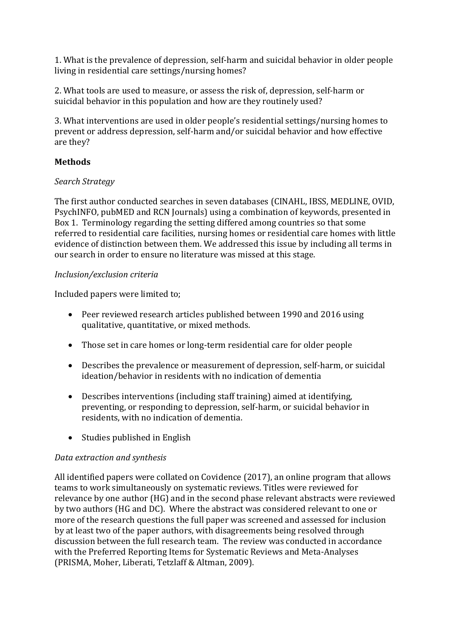1. What is the prevalence of depression, self-harm and suicidal behavior in older people living in residential care settings/nursing homes?

2. What tools are used to measure, or assess the risk of, depression, self-harm or suicidal behavior in this population and how are they routinely used?

3. What interventions are used in older people's residential settings/nursing homes to prevent or address depression, self-harm and/or suicidal behavior and how effective are they?

# **Methods**

## *Search Strategy*

The first author conducted searches in seven databases (CINAHL, IBSS, MEDLINE, OVID, PsychINFO, pubMED and RCN Journals) using a combination of keywords, presented in Box 1. Terminology regarding the setting differed among countries so that some referred to residential care facilities, nursing homes or residential care homes with little evidence of distinction between them. We addressed this issue by including all terms in our search in order to ensure no literature was missed at this stage.

### *Inclusion/exclusion criteria*

Included papers were limited to;

- Peer reviewed research articles published between 1990 and 2016 using qualitative, quantitative, or mixed methods.
- Those set in care homes or long-term residential care for older people
- Describes the prevalence or measurement of depression, self-harm, or suicidal ideation/behavior in residents with no indication of dementia
- Describes interventions (including staff training) aimed at identifying, preventing, or responding to depression, self-harm, or suicidal behavior in residents, with no indication of dementia.
- Studies published in English

## *Data extraction and synthesis*

All identified papers were collated on Covidence (2017), an online program that allows teams to work simultaneously on systematic reviews. Titles were reviewed for relevance by one author (HG) and in the second phase relevant abstracts were reviewed by two authors (HG and DC). Where the abstract was considered relevant to one or more of the research questions the full paper was screened and assessed for inclusion by at least two of the paper authors, with disagreements being resolved through discussion between the full research team. The review was conducted in accordance with the Preferred Reporting Items for Systematic Reviews and Meta-Analyses (PRISMA, Moher, Liberati, Tetzlaff & Altman, 2009).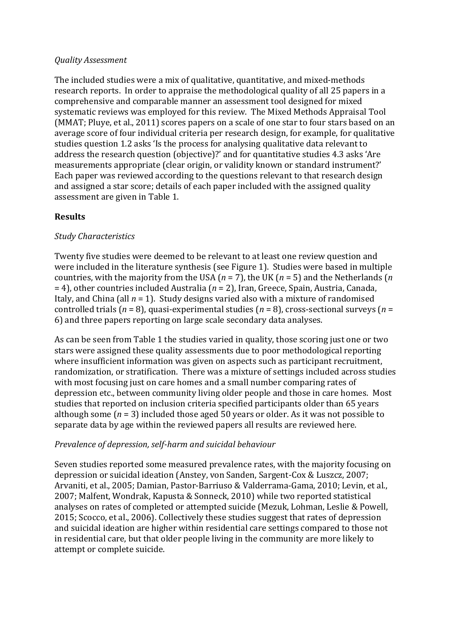#### *Quality Assessment*

The included studies were a mix of qualitative, quantitative, and mixed-methods research reports. In order to appraise the methodological quality of all 25 papers in a comprehensive and comparable manner an assessment tool designed for mixed systematic reviews was employed for this review. The Mixed Methods Appraisal Tool (MMAT; Pluye, et al., 2011) scores papers on a scale of one star to four stars based on an average score of four individual criteria per research design, for example, for qualitative studies question 1.2 asks 'Is the process for analysing qualitative data relevant to address the research question (objective)?' and for quantitative studies 4.3 asks 'Are measurements appropriate (clear origin, or validity known or standard instrument?' Each paper was reviewed according to the questions relevant to that research design and assigned a star score; details of each paper included with the assigned quality assessment are given in Table 1.

# **Results**

## *Study Characteristics*

Twenty five studies were deemed to be relevant to at least one review question and were included in the literature synthesis (see Figure 1). Studies were based in multiple countries, with the majority from the USA (*n* = 7), the UK (*n* = 5) and the Netherlands (*n* = 4), other countries included Australia (*n* = 2), Iran, Greece, Spain, Austria, Canada, Italy, and China (all *n* = 1). Study designs varied also with a mixture of randomised controlled trials (*n* = 8), quasi-experimental studies (*n* = 8), cross-sectional surveys (*n* = 6) and three papers reporting on large scale secondary data analyses.

As can be seen from Table 1 the studies varied in quality, those scoring just one or two stars were assigned these quality assessments due to poor methodological reporting where insufficient information was given on aspects such as participant recruitment, randomization, or stratification. There was a mixture of settings included across studies with most focusing just on care homes and a small number comparing rates of depression etc., between community living older people and those in care homes. Most studies that reported on inclusion criteria specified participants older than 65 years although some (*n* = 3) included those aged 50 years or older. As it was not possible to separate data by age within the reviewed papers all results are reviewed here.

#### *Prevalence of depression, self-harm and suicidal behaviour*

Seven studies reported some measured prevalence rates, with the majority focusing on depression or suicidal ideation (Anstey, von Sanden, Sargent-Cox & Luszcz, 2007; Arvaniti, et al., 2005; Damian, Pastor-Barriuso & Valderrama-Gama, 2010; Levin, et al., 2007; Malfent, Wondrak, Kapusta & Sonneck, 2010) while two reported statistical analyses on rates of completed or attempted suicide (Mezuk, Lohman, Leslie & Powell, 2015; Scocco, et al., 2006). Collectively these studies suggest that rates of depression and suicidal ideation are higher within residential care settings compared to those not in residential care, but that older people living in the community are more likely to attempt or complete suicide.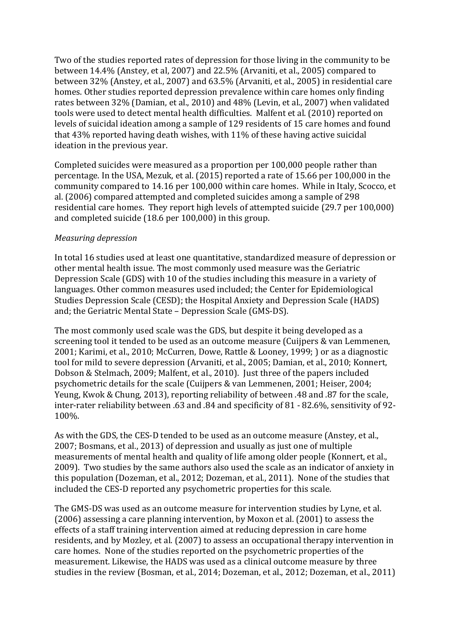Two of the studies reported rates of depression for those living in the community to be between 14.4% (Anstey, et al, 2007) and 22.5% (Arvaniti, et al., 2005) compared to between 32% (Anstey, et al., 2007) and 63.5% (Arvaniti, et al., 2005) in residential care homes. Other studies reported depression prevalence within care homes only finding rates between 32% (Damian, et al., 2010) and 48% (Levin, et al., 2007) when validated tools were used to detect mental health difficulties. Malfent et al. (2010) reported on levels of suicidal ideation among a sample of 129 residents of 15 care homes and found that 43% reported having death wishes, with 11% of these having active suicidal ideation in the previous year.

Completed suicides were measured as a proportion per 100,000 people rather than percentage. In the USA, Mezuk, et al. (2015) reported a rate of 15.66 per 100,000 in the community compared to 14.16 per 100,000 within care homes. While in Italy, Scocco, et al. (2006) compared attempted and completed suicides among a sample of 298 residential care homes. They report high levels of attempted suicide (29.7 per 100,000) and completed suicide (18.6 per 100,000) in this group.

### *Measuring depression*

In total 16 studies used at least one quantitative, standardized measure of depression or other mental health issue. The most commonly used measure was the Geriatric Depression Scale (GDS) with 10 of the studies including this measure in a variety of languages. Other common measures used included; the Center for Epidemiological Studies Depression Scale (CESD); the Hospital Anxiety and Depression Scale (HADS) and; the Geriatric Mental State – Depression Scale (GMS-DS).

The most commonly used scale was the GDS, but despite it being developed as a screening tool it tended to be used as an outcome measure (Cuijpers & van Lemmenen, 2001; Karimi, et al., 2010; McCurren, Dowe, Rattle & Looney, 1999; ) or as a diagnostic tool for mild to severe depression (Arvaniti, et al., 2005; Damian, et al., 2010; Konnert, Dobson & Stelmach, 2009; Malfent, et al., 2010). Just three of the papers included psychometric details for the scale (Cuijpers & van Lemmenen, 2001; Heiser, 2004; Yeung, Kwok & Chung, 2013), reporting reliability of between .48 and .87 for the scale, inter-rater reliability between .63 and .84 and specificity of 81 - 82.6%, sensitivity of 92- 100%.

As with the GDS, the CES-D tended to be used as an outcome measure (Anstey, et al., 2007; Bosmans, et al., 2013) of depression and usually as just one of multiple measurements of mental health and quality of life among older people (Konnert, et al., 2009). Two studies by the same authors also used the scale as an indicator of anxiety in this population (Dozeman, et al., 2012; Dozeman, et al., 2011). None of the studies that included the CES-D reported any psychometric properties for this scale.

The GMS-DS was used as an outcome measure for intervention studies by Lyne, et al. (2006) assessing a care planning intervention, by Moxon et al. (2001) to assess the effects of a staff training intervention aimed at reducing depression in care home residents, and by Mozley, et al. (2007) to assess an occupational therapy intervention in care homes. None of the studies reported on the psychometric properties of the measurement. Likewise, the HADS was used as a clinical outcome measure by three studies in the review (Bosman, et al., 2014; Dozeman, et al., 2012; Dozeman, et al., 2011)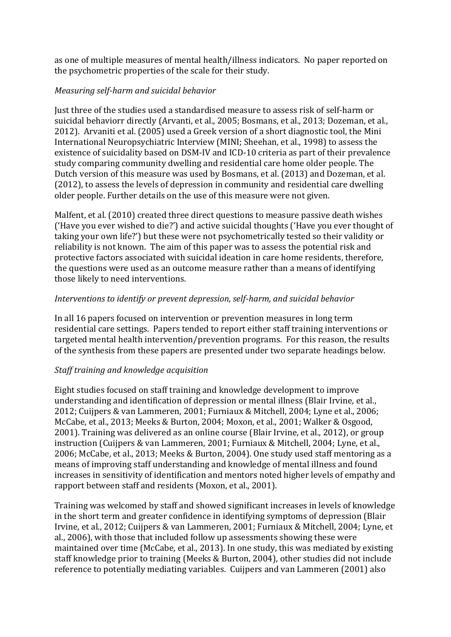as one of multiple measures of mental health/illness indicators. No paper reported on the psychometric properties of the scale for their study.

## *Measuring self-harm and suicidal behavior*

Just three of the studies used a standardised measure to assess risk of self-harm or suicidal behaviorr directly (Arvanti, et al., 2005; Bosmans, et al., 2013; Dozeman, et al., 2012). Arvaniti et al. (2005) used a Greek version of a short diagnostic tool, the Mini International Neuropsychiatric Interview (MINI; Sheehan, et al., 1998) to assess the existence of suicidality based on DSM-IV and ICD-10 criteria as part of their prevalence study comparing community dwelling and residential care home older people. The Dutch version of this measure was used by Bosmans, et al. (2013) and Dozeman, et al. (2012), to assess the levels of depression in community and residential care dwelling older people. Further details on the use of this measure were not given.

Malfent, et al. (2010) created three direct questions to measure passive death wishes ('Have you ever wished to die?') and active suicidal thoughts ('Have you ever thought of taking your own life?') but these were not psychometrically tested so their validity or reliability is not known. The aim of this paper was to assess the potential risk and protective factors associated with suicidal ideation in care home residents, therefore, the questions were used as an outcome measure rather than a means of identifying those likely to need interventions.

## *Interventions to identify or prevent depression, self-harm, and suicidal behavior*

In all 16 papers focused on intervention or prevention measures in long term residential care settings. Papers tended to report either staff training interventions or targeted mental health intervention/prevention programs. For this reason, the results of the synthesis from these papers are presented under two separate headings below.

## *Staff training and knowledge acquisition*

Eight studies focused on staff training and knowledge development to improve understanding and identification of depression or mental illness (Blair Irvine, et al., 2012; Cuijpers & van Lammeren, 2001; Furniaux & Mitchell, 2004; Lyne et al., 2006; McCabe, et al., 2013; Meeks & Burton, 2004; Moxon, et al., 2001; Walker & Osgood, 2001). Training was delivered as an online course (Blair Irvine, et al., 2012), or group instruction (Cuijpers & van Lammeren, 2001; Furniaux & Mitchell, 2004; Lyne, et al., 2006; McCabe, et al., 2013; Meeks & Burton, 2004). One study used staff mentoring as a means of improving staff understanding and knowledge of mental illness and found increases in sensitivity of identification and mentors noted higher levels of empathy and rapport between staff and residents (Moxon, et al., 2001).

Training was welcomed by staff and showed significant increases in levels of knowledge in the short term and greater confidence in identifying symptoms of depression (Blair Irvine, et al., 2012; Cuijpers & van Lammeren, 2001; Furniaux & Mitchell, 2004; Lyne, et al., 2006), with those that included follow up assessments showing these were maintained over time (McCabe, et al., 2013). In one study, this was mediated by existing staff knowledge prior to training (Meeks & Burton, 2004), other studies did not include reference to potentially mediating variables. Cuijpers and van Lammeren (2001) also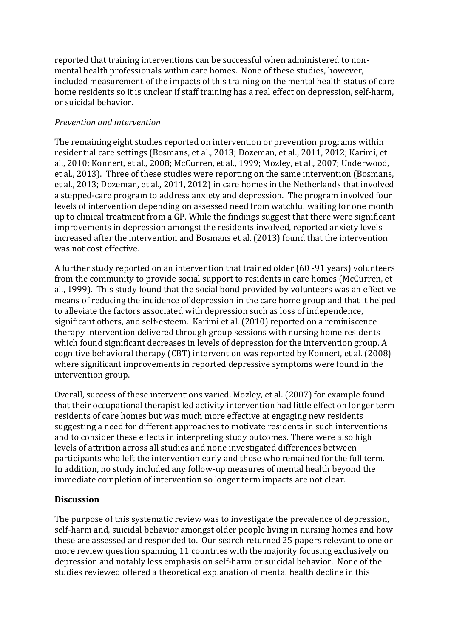reported that training interventions can be successful when administered to nonmental health professionals within care homes. None of these studies, however, included measurement of the impacts of this training on the mental health status of care home residents so it is unclear if staff training has a real effect on depression, self-harm, or suicidal behavior.

#### *Prevention and intervention*

The remaining eight studies reported on intervention or prevention programs within residential care settings (Bosmans, et al., 2013; Dozeman, et al., 2011, 2012; Karimi, et al., 2010; Konnert, et al., 2008; McCurren, et al., 1999; Mozley, et al., 2007; Underwood, et al., 2013). Three of these studies were reporting on the same intervention (Bosmans, et al., 2013; Dozeman, et al., 2011, 2012) in care homes in the Netherlands that involved a stepped-care program to address anxiety and depression. The program involved four levels of intervention depending on assessed need from watchful waiting for one month up to clinical treatment from a GP. While the findings suggest that there were significant improvements in depression amongst the residents involved, reported anxiety levels increased after the intervention and Bosmans et al. (2013) found that the intervention was not cost effective.

A further study reported on an intervention that trained older (60 -91 years) volunteers from the community to provide social support to residents in care homes (McCurren, et al., 1999). This study found that the social bond provided by volunteers was an effective means of reducing the incidence of depression in the care home group and that it helped to alleviate the factors associated with depression such as loss of independence, significant others, and self-esteem. Karimi et al. (2010) reported on a reminiscence therapy intervention delivered through group sessions with nursing home residents which found significant decreases in levels of depression for the intervention group. A cognitive behavioral therapy (CBT) intervention was reported by Konnert, et al. (2008) where significant improvements in reported depressive symptoms were found in the intervention group.

Overall, success of these interventions varied. Mozley, et al. (2007) for example found that their occupational therapist led activity intervention had little effect on longer term residents of care homes but was much more effective at engaging new residents suggesting a need for different approaches to motivate residents in such interventions and to consider these effects in interpreting study outcomes. There were also high levels of attrition across all studies and none investigated differences between participants who left the intervention early and those who remained for the full term. In addition, no study included any follow-up measures of mental health beyond the immediate completion of intervention so longer term impacts are not clear.

#### **Discussion**

The purpose of this systematic review was to investigate the prevalence of depression, self-harm and, suicidal behavior amongst older people living in nursing homes and how these are assessed and responded to. Our search returned 25 papers relevant to one or more review question spanning 11 countries with the majority focusing exclusively on depression and notably less emphasis on self-harm or suicidal behavior. None of the studies reviewed offered a theoretical explanation of mental health decline in this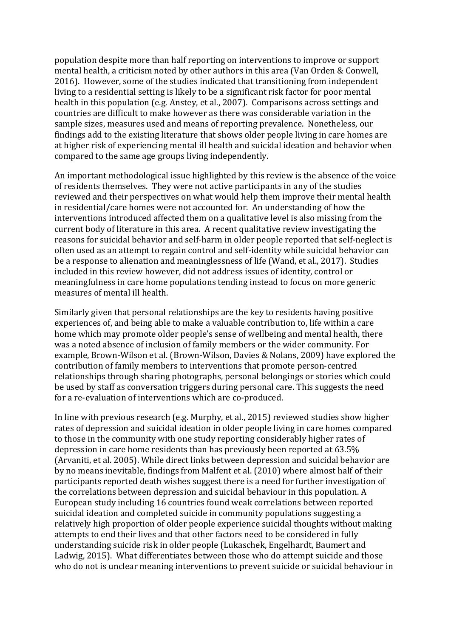population despite more than half reporting on interventions to improve or support mental health, a criticism noted by other authors in this area (Van Orden & Conwell, 2016). However, some of the studies indicated that transitioning from independent living to a residential setting is likely to be a significant risk factor for poor mental health in this population (e.g. Anstey, et al., 2007). Comparisons across settings and countries are difficult to make however as there was considerable variation in the sample sizes, measures used and means of reporting prevalence. Nonetheless, our findings add to the existing literature that shows older people living in care homes are at higher risk of experiencing mental ill health and suicidal ideation and behavior when compared to the same age groups living independently.

An important methodological issue highlighted by this review is the absence of the voice of residents themselves. They were not active participants in any of the studies reviewed and their perspectives on what would help them improve their mental health in residential/care homes were not accounted for. An understanding of how the interventions introduced affected them on a qualitative level is also missing from the current body of literature in this area. A recent qualitative review investigating the reasons for suicidal behavior and self-harm in older people reported that self-neglect is often used as an attempt to regain control and self-identity while suicidal behavior can be a response to alienation and meaninglessness of life (Wand, et al., 2017). Studies included in this review however, did not address issues of identity, control or meaningfulness in care home populations tending instead to focus on more generic measures of mental ill health.

Similarly given that personal relationships are the key to residents having positive experiences of, and being able to make a valuable contribution to, life within a care home which may promote older people's sense of wellbeing and mental health, there was a noted absence of inclusion of family members or the wider community. For example, Brown-Wilson et al. (Brown-Wilson, Davies & Nolans, 2009) have explored the contribution of family members to interventions that promote person-centred relationships through sharing photographs, personal belongings or stories which could be used by staff as conversation triggers during personal care. This suggests the need for a re-evaluation of interventions which are co-produced.

In line with previous research (e.g. Murphy, et al., 2015) reviewed studies show higher rates of depression and suicidal ideation in older people living in care homes compared to those in the community with one study reporting considerably higher rates of depression in care home residents than has previously been reported at 63.5% (Arvaniti, et al. 2005). While direct links between depression and suicidal behavior are by no means inevitable, findings from Malfent et al. (2010) where almost half of their participants reported death wishes suggest there is a need for further investigation of the correlations between depression and suicidal behaviour in this population. A European study including 16 countries found weak correlations between reported suicidal ideation and completed suicide in community populations suggesting a relatively high proportion of older people experience suicidal thoughts without making attempts to end their lives and that other factors need to be considered in fully understanding suicide risk in older people (Lukaschek, Engelhardt, Baumert and Ladwig, 2015). What differentiates between those who do attempt suicide and those who do not is unclear meaning interventions to prevent suicide or suicidal behaviour in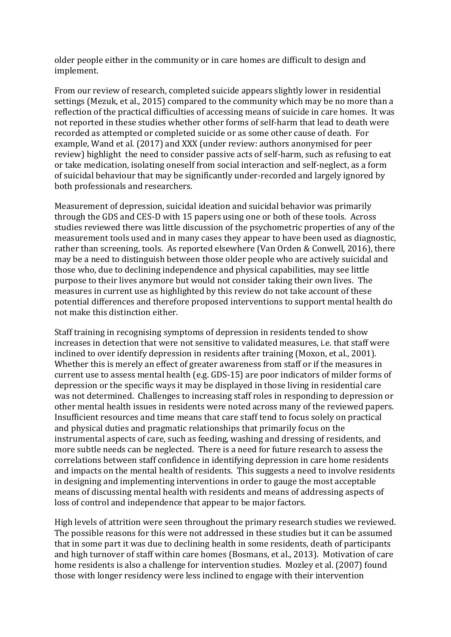older people either in the community or in care homes are difficult to design and implement.

From our review of research, completed suicide appears slightly lower in residential settings (Mezuk, et al., 2015) compared to the community which may be no more than a reflection of the practical difficulties of accessing means of suicide in care homes. It was not reported in these studies whether other forms of self-harm that lead to death were recorded as attempted or completed suicide or as some other cause of death. For example, Wand et al. (2017) and XXX (under review: authors anonymised for peer review) highlight the need to consider passive acts of self-harm, such as refusing to eat or take medication, isolating oneself from social interaction and self-neglect, as a form of suicidal behaviour that may be significantly under-recorded and largely ignored by both professionals and researchers.

Measurement of depression, suicidal ideation and suicidal behavior was primarily through the GDS and CES-D with 15 papers using one or both of these tools. Across studies reviewed there was little discussion of the psychometric properties of any of the measurement tools used and in many cases they appear to have been used as diagnostic, rather than screening, tools. As reported elsewhere (Van Orden & Conwell, 2016), there may be a need to distinguish between those older people who are actively suicidal and those who, due to declining independence and physical capabilities, may see little purpose to their lives anymore but would not consider taking their own lives. The measures in current use as highlighted by this review do not take account of these potential differences and therefore proposed interventions to support mental health do not make this distinction either.

Staff training in recognising symptoms of depression in residents tended to show increases in detection that were not sensitive to validated measures, i.e. that staff were inclined to over identify depression in residents after training (Moxon, et al., 2001). Whether this is merely an effect of greater awareness from staff or if the measures in current use to assess mental health (e.g. GDS-15) are poor indicators of milder forms of depression or the specific ways it may be displayed in those living in residential care was not determined. Challenges to increasing staff roles in responding to depression or other mental health issues in residents were noted across many of the reviewed papers. Insufficient resources and time means that care staff tend to focus solely on practical and physical duties and pragmatic relationships that primarily focus on the instrumental aspects of care, such as feeding, washing and dressing of residents, and more subtle needs can be neglected. There is a need for future research to assess the correlations between staff confidence in identifying depression in care home residents and impacts on the mental health of residents. This suggests a need to involve residents in designing and implementing interventions in order to gauge the most acceptable means of discussing mental health with residents and means of addressing aspects of loss of control and independence that appear to be major factors.

High levels of attrition were seen throughout the primary research studies we reviewed. The possible reasons for this were not addressed in these studies but it can be assumed that in some part it was due to declining health in some residents, death of participants and high turnover of staff within care homes (Bosmans, et al., 2013). Motivation of care home residents is also a challenge for intervention studies. Mozley et al. (2007) found those with longer residency were less inclined to engage with their intervention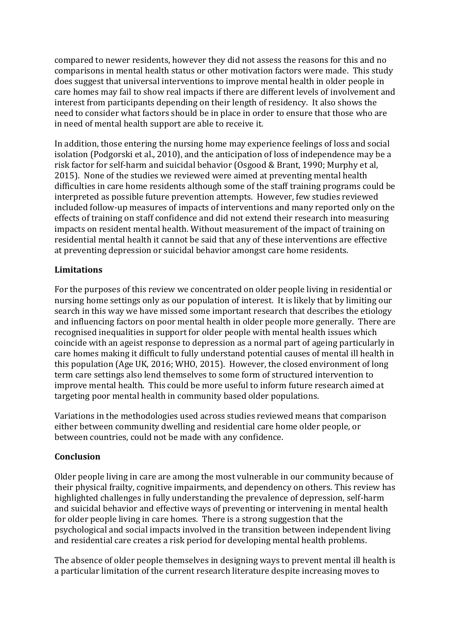compared to newer residents, however they did not assess the reasons for this and no comparisons in mental health status or other motivation factors were made. This study does suggest that universal interventions to improve mental health in older people in care homes may fail to show real impacts if there are different levels of involvement and interest from participants depending on their length of residency. It also shows the need to consider what factors should be in place in order to ensure that those who are in need of mental health support are able to receive it.

In addition, those entering the nursing home may experience feelings of loss and social isolation (Podgorski et al., 2010), and the anticipation of loss of independence may be a risk factor for self-harm and suicidal behavior (Osgood & Brant, 1990; Murphy et al, 2015). None of the studies we reviewed were aimed at preventing mental health difficulties in care home residents although some of the staff training programs could be interpreted as possible future prevention attempts. However, few studies reviewed included follow-up measures of impacts of interventions and many reported only on the effects of training on staff confidence and did not extend their research into measuring impacts on resident mental health. Without measurement of the impact of training on residential mental health it cannot be said that any of these interventions are effective at preventing depression or suicidal behavior amongst care home residents.

## **Limitations**

For the purposes of this review we concentrated on older people living in residential or nursing home settings only as our population of interest. It is likely that by limiting our search in this way we have missed some important research that describes the etiology and influencing factors on poor mental health in older people more generally. There are recognised inequalities in support for older people with mental health issues which coincide with an ageist response to depression as a normal part of ageing particularly in care homes making it difficult to fully understand potential causes of mental ill health in this population (Age UK, 2016; WHO, 2015). However, the closed environment of long term care settings also lend themselves to some form of structured intervention to improve mental health. This could be more useful to inform future research aimed at targeting poor mental health in community based older populations.

Variations in the methodologies used across studies reviewed means that comparison either between community dwelling and residential care home older people, or between countries, could not be made with any confidence.

#### **Conclusion**

Older people living in care are among the most vulnerable in our community because of their physical frailty, cognitive impairments, and dependency on others. This review has highlighted challenges in fully understanding the prevalence of depression, self-harm and suicidal behavior and effective ways of preventing or intervening in mental health for older people living in care homes. There is a strong suggestion that the psychological and social impacts involved in the transition between independent living and residential care creates a risk period for developing mental health problems.

The absence of older people themselves in designing ways to prevent mental ill health is a particular limitation of the current research literature despite increasing moves to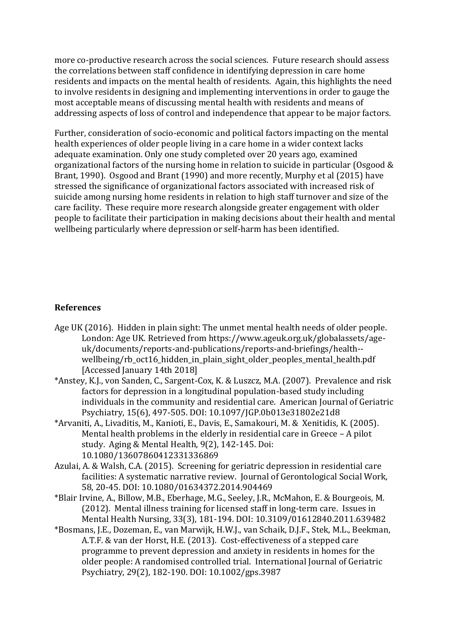more co-productive research across the social sciences. Future research should assess the correlations between staff confidence in identifying depression in care home residents and impacts on the mental health of residents. Again, this highlights the need to involve residents in designing and implementing interventions in order to gauge the most acceptable means of discussing mental health with residents and means of addressing aspects of loss of control and independence that appear to be major factors.

Further, consideration of socio-economic and political factors impacting on the mental health experiences of older people living in a care home in a wider context lacks adequate examination. Only one study completed over 20 years ago, examined organizational factors of the nursing home in relation to suicide in particular (Osgood & Brant, 1990). Osgood and Brant (1990) and more recently, Murphy et al (2015) have stressed the significance of organizational factors associated with increased risk of suicide among nursing home residents in relation to high staff turnover and size of the care facility. These require more research alongside greater engagement with older people to facilitate their participation in making decisions about their health and mental wellbeing particularly where depression or self-harm has been identified.

#### **References**

- Age UK (2016). Hidden in plain sight: The unmet mental health needs of older people. London: Age UK. Retrieved from https://www.ageuk.org.uk/globalassets/ageuk/documents/reports-and-publications/reports-and-briefings/health- wellbeing/rb\_oct16\_hidden\_in\_plain\_sight\_older\_peoples\_mental\_health.pdf [Accessed January 14th 2018]
- \*Anstey, K.J., von Sanden, C., Sargent-Cox, K. & Luszcz, M.A. (2007). Prevalence and risk factors for depression in a longitudinal population-based study including individuals in the community and residential care. American Journal of Geriatric Psychiatry, 15(6), 497-505. DOI: 10.1097/JGP.0b013e31802e21d8
- \*Arvaniti, A., Livaditis, M., Kanioti, E., Davis, E., Samakouri, M. & Xenitidis, K. (2005). Mental health problems in the elderly in residential care in Greece – A pilot study. Aging & Mental Health, 9(2), 142-145. Doi: 10.1080/13607860412331336869
- Azulai, A. & Walsh, C.A. (2015). Screening for geriatric depression in residential care facilities: A systematic narrative review. Journal of Gerontological Social Work, 58, 20-45. DOI: 10.1080/01634372.2014.904469
- \*Blair Irvine, A., Billow, M.B., Eberhage, M.G., Seeley, J.R., McMahon, E. & Bourgeois, M. (2012). Mental illness training for licensed staff in long-term care. Issues in Mental Health Nursing, 33(3), 181-194. DOI: 10.3109/01612840.2011.639482
- \*Bosmans, J.E., Dozeman, E., van Marwijk, H.W.J., van Schaik, D.J.F., Stek, M.L., Beekman, A.T.F. & van der Horst, H.E. (2013). Cost-effectiveness of a stepped care programme to prevent depression and anxiety in residents in homes for the older people: A randomised controlled trial. International Journal of Geriatric Psychiatry, 29(2), 182-190. DOI: 10.1002/gps.3987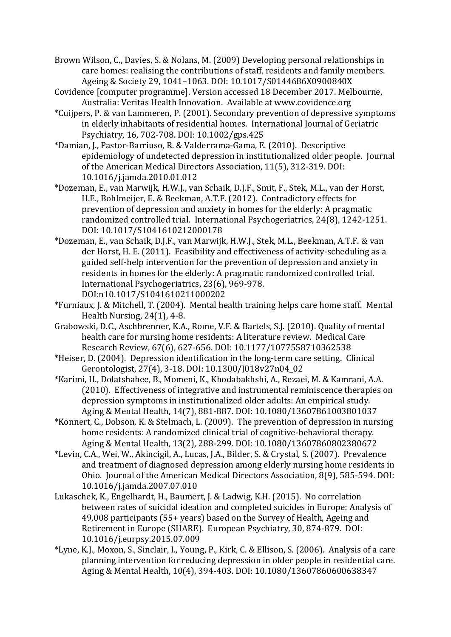Brown Wilson, C., Davies, S. & Nolans, M. (2009) Developing personal relationships in care homes: realising the contributions of staff, residents and family members. Ageing & Society 29, 1041–1063. DOI: 10.1017/S0144686X0900840X

Covidence [computer programme]. Version accessed 18 December 2017. Melbourne, Australia: Veritas Health Innovation. Available at www.covidence.org

\*Cuijpers, P. & van Lammeren, P. (2001). Secondary prevention of depressive symptoms in elderly inhabitants of residential homes. International Journal of Geriatric Psychiatry, 16, 702-708. DOI: 10.1002/gps.425

\*Damian, J., Pastor-Barriuso, R. & Valderrama-Gama, E. (2010). Descriptive epidemiology of undetected depression in institutionalized older people. Journal of the American Medical Directors Association, 11(5), 312-319. DOI: 10.1016/j.jamda.2010.01.012

- \*Dozeman, E., van Marwijk, H.W.J., van Schaik, D.J.F., Smit, F., Stek, M.L., van der Horst, H.E., Bohlmeijer, E. & Beekman, A.T.F. (2012). Contradictory effects for prevention of depression and anxiety in homes for the elderly: A pragmatic randomized controlled trial. International Psychogeriatrics, 24(8), 1242-1251. DOI: 10.1017/S1041610212000178
- \*Dozeman, E., van Schaik, D.J.F., van Marwijk, H.W.J., Stek, M.L., Beekman, A.T.F. & van der Horst, H. E. (2011). Feasibility and effectiveness of activity-scheduling as a guided self-help intervention for the prevention of depression and anxiety in residents in homes for the elderly: A pragmatic randomized controlled trial. International Psychogeriatrics, 23(6), 969-978. DOI:n10.1017/S1041610211000202
- \*Furniaux, J. & Mitchell, T. (2004). Mental health training helps care home staff. Mental Health Nursing, 24(1), 4-8.
- Grabowski, D.C., Aschbrenner, K.A., Rome, V.F. & Bartels, S.J. (2010). Quality of mental health care for nursing home residents: A literature review. Medical Care Research Review, 67(6), 627-656. DOI: 10.1177/1077558710362538
- \*Heiser, D. (2004). Depression identification in the long-term care setting. Clinical Gerontologist, 27(4), 3-18. DOI: 10.1300/J018v27n04\_02
- \*Karimi, H., Dolatshahee, B., Momeni, K., Khodabakhshi, A., Rezaei, M. & Kamrani, A.A. (2010). Effectiveness of integrative and instrumental reminiscence therapies on depression symptoms in institutionalized older adults: An empirical study. Aging & Mental Health, 14(7), 881-887. DOI: 10.1080/13607861003801037
- \*Konnert, C., Dobson, K. & Stelmach, L. (2009). The prevention of depression in nursing home residents: A randomized clinical trial of cognitive-behavioral therapy. Aging & Mental Health, 13(2), 288-299. DOI: 10.1080/13607860802380672
- \*Levin, C.A., Wei, W., Akincigil, A., Lucas, J.A., Bilder, S. & Crystal, S. (2007). Prevalence and treatment of diagnosed depression among elderly nursing home residents in Ohio. Journal of the American Medical Directors Association, 8(9), 585-594. DOI: 10.1016/j.jamda.2007.07.010
- Lukaschek, K., Engelhardt, H., Baumert, J. & Ladwig, K.H. (2015). No correlation between rates of suicidal ideation and completed suicides in Europe: Analysis of 49,008 participants (55+ years) based on the Survey of Health, Ageing and Retirement in Europe (SHARE). European Psychiatry, 30, 874-879. DOI: 10.1016/j.eurpsy.2015.07.009
- \*Lyne, K.J., Moxon, S., Sinclair, I., Young, P., Kirk, C. & Ellison, S. (2006). Analysis of a care planning intervention for reducing depression in older people in residential care. Aging & Mental Health, 10(4), 394-403. DOI: 10.1080/13607860600638347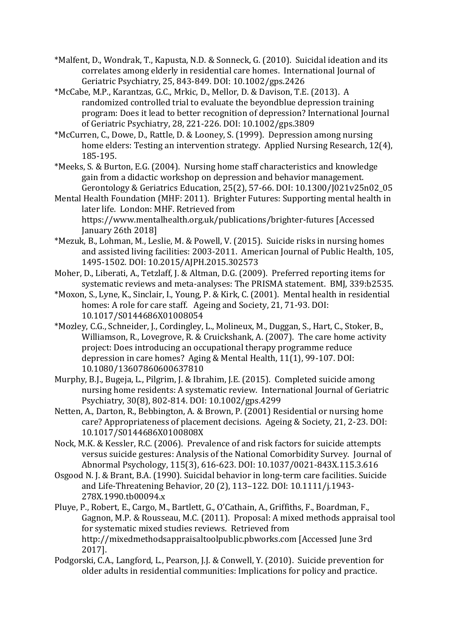- \*Malfent, D., Wondrak, T., Kapusta, N.D. & Sonneck, G. (2010). Suicidal ideation and its correlates among elderly in residential care homes. International Journal of Geriatric Psychiatry, 25, 843-849. DOI: 10.1002/gps.2426
- \*McCabe, M.P., Karantzas, G.C., Mrkic, D., Mellor, D. & Davison, T.E. (2013). A randomized controlled trial to evaluate the beyondblue depression training program: Does it lead to better recognition of depression? International Journal of Geriatric Psychiatry, 28, 221-226. DOI: 10.1002/gps.3809
- \*McCurren, C., Dowe, D., Rattle, D. & Looney, S. (1999). Depression among nursing home elders: Testing an intervention strategy. Applied Nursing Research, 12(4), 185-195.
- \*Meeks, S. & Burton, E.G. (2004). Nursing home staff characteristics and knowledge gain from a didactic workshop on depression and behavior management. Gerontology & Geriatrics Education, 25(2), 57-66. DOI: 10.1300/J021v25n02\_05
- Mental Health Foundation (MHF: 2011). Brighter Futures: Supporting mental health in later life. London: MHF. Retrieved from https://www.mentalhealth.org.uk/publications/brighter-futures [Accessed January 26th 2018]
- \*Mezuk, B., Lohman, M., Leslie, M. & Powell, V. (2015). Suicide risks in nursing homes and assisted living facilities: 2003-2011. American Journal of Public Health, 105, 1495-1502. DOI: 10.2015/AJPH.2015.302573
- Moher, D., Liberati, A., Tetzlaff, J. & Altman, D.G. (2009). Preferred reporting items for systematic reviews and meta-analyses: The PRISMA statement. BMJ, 339:b2535.
- \*Moxon, S., Lyne, K., Sinclair, I., Young, P. & Kirk, C. (2001). Mental health in residential homes: A role for care staff. Ageing and Society, 21, 71-93. DOI: 10.1017/S0144686X01008054
- \*Mozley, C.G., Schneider, J., Cordingley, L., Molineux, M., Duggan, S., Hart, C., Stoker, B., Williamson, R., Lovegrove, R. & Cruickshank, A. (2007). The care home activity project: Does introducing an occupational therapy programme reduce depression in care homes? Aging & Mental Health, 11(1), 99-107. DOI: 10.1080/13607860600637810
- Murphy, B.J., Bugeja, L., Pilgrim, J. & Ibrahim, J.E. (2015). Completed suicide among nursing home residents: A systematic review. International Journal of Geriatric Psychiatry, 30(8), 802-814. DOI: 10.1002/gps.4299
- Netten, A., Darton, R., Bebbington, A. & Brown, P. (2001) Residential or nursing home care? Appropriateness of placement decisions. Ageing & Society, 21, 2-23. DOI: 10.1017/S0144686X0100808X
- Nock, M.K. & Kessler, R.C. (2006). Prevalence of and risk factors for suicide attempts versus suicide gestures: Analysis of the National Comorbidity Survey. Journal of Abnormal Psychology, 115(3), 616-623. DOI: 10.1037/0021-843X.115.3.616
- Osgood N. J. & Brant, B.A. (1990). Suicidal behavior in long-term care facilities. Suicide and Life-Threatening Behavior, 20 (2), 113–122. DOI: 10.1111/j.1943- 278X.1990.tb00094.x
- Pluye, P., Robert, E., Cargo, M., Bartlett, G., O'Cathain, A., Griffiths, F., Boardman, F., Gagnon, M.P. & Rousseau, M.C. (2011). Proposal: A mixed methods appraisal tool for systematic mixed studies reviews. Retrieved from http://mixedmethodsappraisaltoolpublic.pbworks.com [Accessed June 3rd 2017].
- Podgorski, C.A., Langford, L., Pearson, J.J. & Conwell, Y. (2010). Suicide prevention for older adults in residential communities: Implications for policy and practice.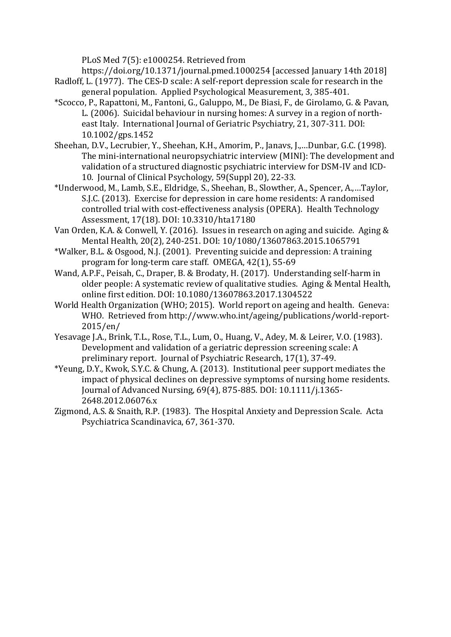PLoS Med 7(5): e1000254. Retrieved from

https://doi.org/10.1371/journal.pmed.1000254 [accessed January 14th 2018] Radloff, L. (1977). The CES-D scale: A self-report depression scale for research in the general population. Applied Psychological Measurement, 3, 385-401.

- \*Scocco, P., Rapattoni, M., Fantoni, G., Galuppo, M., De Biasi, F., de Girolamo, G. & Pavan, L. (2006). Suicidal behaviour in nursing homes: A survey in a region of northeast Italy. International Journal of Geriatric Psychiatry, 21, 307-311. DOI: 10.1002/gps.1452
- Sheehan, D.V., Lecrubier, Y., Sheehan, K.H., Amorim, P., Janavs, J.,…Dunbar, G.C. (1998). The mini-international neuropsychiatric interview (MINI): The development and validation of a structured diagnostic psychiatric interview for DSM-IV and ICD-10. Journal of Clinical Psychology, 59(Suppl 20), 22-33.
- \*Underwood, M., Lamb, S.E., Eldridge, S., Sheehan, B., Slowther, A., Spencer, A.,…Taylor, S.J.C. (2013). Exercise for depression in care home residents: A randomised controlled trial with cost-effectiveness analysis (OPERA). Health Technology Assessment, 17(18). DOI: 10.3310/hta17180
- Van Orden, K.A. & Conwell, Y. (2016). Issues in research on aging and suicide. Aging & Mental Health, 20(2), 240-251. DOI: 10/1080/13607863.2015.1065791
- \*Walker, B.L. & Osgood, N.J. (2001). Preventing suicide and depression: A training program for long-term care staff. OMEGA, 42(1), 55-69
- Wand, A.P.F., Peisah, C., Draper, B. & Brodaty, H. (2017). Understanding self-harm in older people: A systematic review of qualitative studies. Aging & Mental Health, online first edition. DOI: 10.1080/13607863.2017.1304522
- World Health Organization (WHO; 2015). World report on ageing and health. Geneva: WHO. Retrieved from http://www.who.int/ageing/publications/world-report-2015/en/
- Yesavage J.A., Brink, T.L., Rose, T.L., Lum, O., Huang, V., Adey, M. & Leirer, V.O. (1983). Development and validation of a geriatric depression screening scale: A preliminary report. Journal of Psychiatric Research, 17(1), 37-49.
- \*Yeung, D.Y., Kwok, S.Y.C. & Chung, A. (2013). Institutional peer support mediates the impact of physical declines on depressive symptoms of nursing home residents. Journal of Advanced Nursing, 69(4), 875-885. DOI: 10.1111/j.1365- 2648.2012.06076.x
- Zigmond, A.S. & Snaith, R.P. (1983). The Hospital Anxiety and Depression Scale. Acta Psychiatrica Scandinavica, 67, 361-370.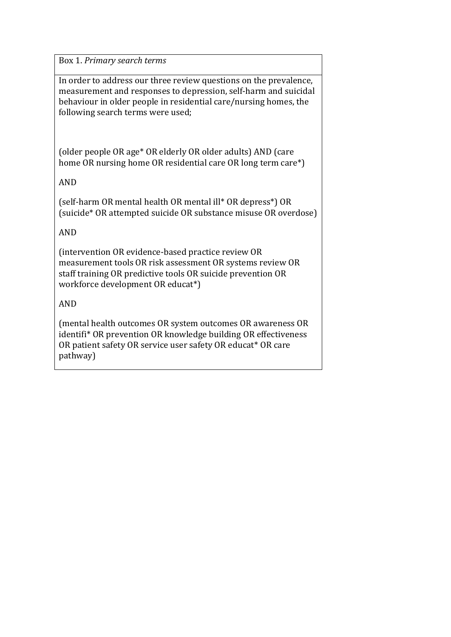Box 1. *Primary search terms*

In order to address our three review questions on the prevalence, measurement and responses to depression, self-harm and suicidal behaviour in older people in residential care/nursing homes, the following search terms were used;

(older people OR age\* OR elderly OR older adults) AND (care home OR nursing home OR residential care OR long term care\*)

# AND

(self-harm OR mental health OR mental ill\* OR depress\*) OR (suicide\* OR attempted suicide OR substance misuse OR overdose)

# AND

(intervention OR evidence-based practice review OR measurement tools OR risk assessment OR systems review OR staff training OR predictive tools OR suicide prevention OR workforce development OR educat\*)

# AND

(mental health outcomes OR system outcomes OR awareness OR identifi\* OR prevention OR knowledge building OR effectiveness OR patient safety OR service user safety OR educat\* OR care pathway)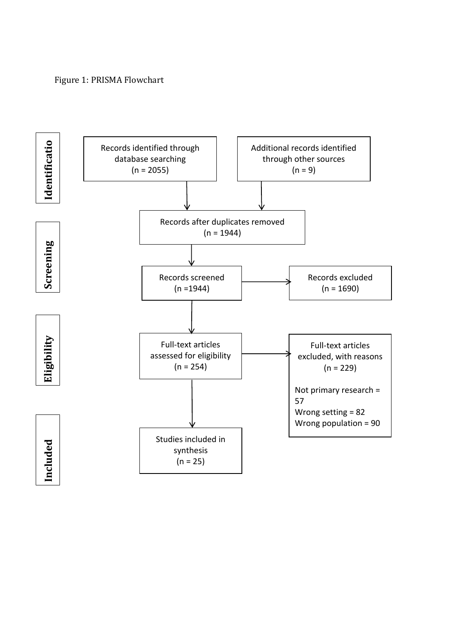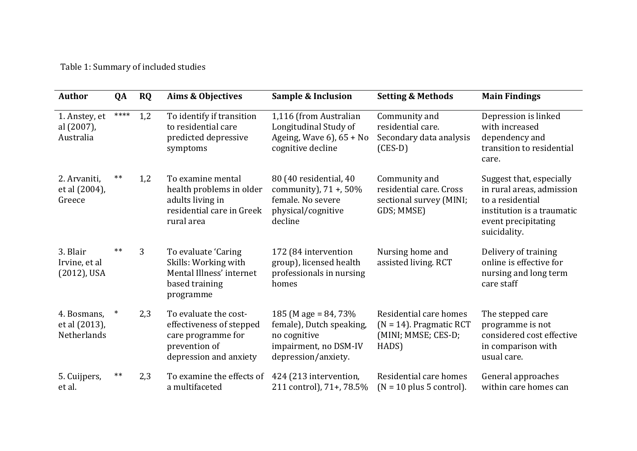Table 1: Summary of included studies

| <b>Author</b>                               | QA     | <b>RQ</b> | Aims & Objectives                                                                                                  | <b>Sample &amp; Inclusion</b>                                                                                     | <b>Setting &amp; Methods</b>                                                         | <b>Main Findings</b>                                                                                                                           |
|---------------------------------------------|--------|-----------|--------------------------------------------------------------------------------------------------------------------|-------------------------------------------------------------------------------------------------------------------|--------------------------------------------------------------------------------------|------------------------------------------------------------------------------------------------------------------------------------------------|
| 1. Anstey, et<br>al (2007),<br>Australia    | ****   | 1,2       | To identify if transition<br>to residential care<br>predicted depressive<br>symptoms                               | 1,116 (from Australian<br>Longitudinal Study of<br>Ageing, Wave $6$ ), $65 + No$<br>cognitive decline             | Community and<br>residential care.<br>Secondary data analysis<br>$(CES-D)$           | Depression is linked<br>with increased<br>dependency and<br>transition to residential<br>care.                                                 |
| 2. Arvaniti,<br>et al (2004),<br>Greece     | $***$  | 1,2       | To examine mental<br>health problems in older<br>adults living in<br>residential care in Greek<br>rural area       | 80 (40 residential, 40<br>community), $71 + 50\%$<br>female. No severe<br>physical/cognitive<br>decline           | Community and<br>residential care. Cross<br>sectional survey (MINI;<br>GDS; MMSE)    | Suggest that, especially<br>in rural areas, admission<br>to a residential<br>institution is a traumatic<br>event precipitating<br>suicidality. |
| 3. Blair<br>Irvine, et al<br>$(2012)$ , USA | $***$  | 3         | To evaluate 'Caring<br>Skills: Working with<br>Mental Illness' internet<br>based training<br>programme             | 172 (84 intervention<br>group), licensed health<br>professionals in nursing<br>homes                              | Nursing home and<br>assisted living. RCT                                             | Delivery of training<br>online is effective for<br>nursing and long term<br>care staff                                                         |
| 4. Bosmans,<br>et al (2013),<br>Netherlands | $\ast$ | 2,3       | To evaluate the cost-<br>effectiveness of stepped<br>care programme for<br>prevention of<br>depression and anxiety | 185 (M age = 84, 73%)<br>female), Dutch speaking,<br>no cognitive<br>impairment, no DSM-IV<br>depression/anxiety. | Residential care homes<br>$(N = 14)$ . Pragmatic RCT<br>(MINI; MMSE; CES-D;<br>HADS) | The stepped care<br>programme is not<br>considered cost effective<br>in comparison with<br>usual care.                                         |
| 5. Cuijpers,<br>et al.                      | $***$  | 2,3       | To examine the effects of<br>a multifaceted                                                                        | 424 (213 intervention,<br>211 control), 71+, 78.5%                                                                | Residential care homes<br>$(N = 10$ plus 5 control).                                 | General approaches<br>within care homes can                                                                                                    |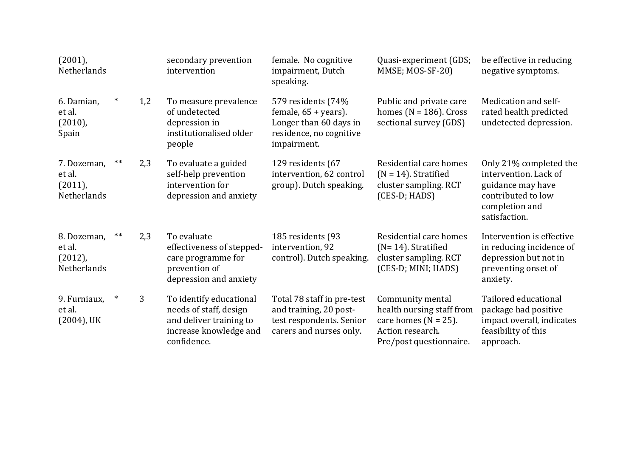| $(2001)$ ,<br><b>Netherlands</b>                   |        |     | secondary prevention<br>intervention                                                                                  | female. No cognitive<br>impairment, Dutch<br>speaking.                                                            | Quasi-experiment (GDS;<br>MMSE; MOS-SF-20)                                                                               | be effective in reducing<br>negative symptoms.                                                                                |
|----------------------------------------------------|--------|-----|-----------------------------------------------------------------------------------------------------------------------|-------------------------------------------------------------------------------------------------------------------|--------------------------------------------------------------------------------------------------------------------------|-------------------------------------------------------------------------------------------------------------------------------|
| 6. Damian,<br>et al.<br>$(2010)$ ,<br>Spain        | $\ast$ | 1,2 | To measure prevalence<br>of undetected<br>depression in<br>institutionalised older<br>people                          | 579 residents (74%<br>female, $65 + years$ ).<br>Longer than 60 days in<br>residence, no cognitive<br>impairment. | Public and private care<br>homes ( $N = 186$ ). Cross<br>sectional survey (GDS)                                          | Medication and self-<br>rated health predicted<br>undetected depression.                                                      |
| 7. Dozeman,<br>et al.<br>$(2011)$ ,<br>Netherlands | $***$  | 2,3 | To evaluate a guided<br>self-help prevention<br>intervention for<br>depression and anxiety                            | 129 residents (67<br>intervention, 62 control<br>group). Dutch speaking.                                          | Residential care homes<br>$(N = 14)$ . Stratified<br>cluster sampling. RCT<br>(CES-D; HADS)                              | Only 21% completed the<br>intervention. Lack of<br>guidance may have<br>contributed to low<br>completion and<br>satisfaction. |
| 8. Dozeman,<br>et al.<br>$(2012)$ ,<br>Netherlands | $***$  | 2,3 | To evaluate<br>effectiveness of stepped-<br>care programme for<br>prevention of<br>depression and anxiety             | 185 residents (93<br>intervention, 92<br>control). Dutch speaking.                                                | Residential care homes<br>$(N=14)$ . Stratified<br>cluster sampling. RCT<br>(CES-D; MINI; HADS)                          | Intervention is effective<br>in reducing incidence of<br>depression but not in<br>preventing onset of<br>anxiety.             |
| 9. Furniaux,<br>et al.<br>$(2004)$ , UK            | $\ast$ | 3   | To identify educational<br>needs of staff, design<br>and deliver training to<br>increase knowledge and<br>confidence. | Total 78 staff in pre-test<br>and training, 20 post-<br>test respondents. Senior<br>carers and nurses only.       | Community mental<br>health nursing staff from<br>care homes ( $N = 25$ ).<br>Action research.<br>Pre/post questionnaire. | Tailored educational<br>package had positive<br>impact overall, indicates<br>feasibility of this<br>approach.                 |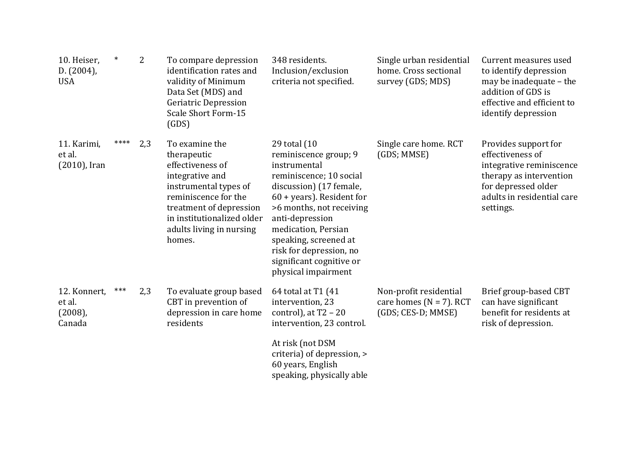| 10. Heiser,<br>D. (2004),<br><b>USA</b>        | $\ast$ | $\overline{2}$ | To compare depression<br>identification rates and<br>validity of Minimum<br>Data Set (MDS) and<br><b>Geriatric Depression</b><br><b>Scale Short Form-15</b><br>(GDS)                                                 | 348 residents.<br>Inclusion/exclusion<br>criteria not specified.                                                                                                                                                                                                                                                         | Single urban residential<br>home. Cross sectional<br>survey (GDS; MDS)      | Current measures used<br>to identify depression<br>may be inadequate - the<br>addition of GDS is<br>effective and efficient to<br>identify depression             |
|------------------------------------------------|--------|----------------|----------------------------------------------------------------------------------------------------------------------------------------------------------------------------------------------------------------------|--------------------------------------------------------------------------------------------------------------------------------------------------------------------------------------------------------------------------------------------------------------------------------------------------------------------------|-----------------------------------------------------------------------------|-------------------------------------------------------------------------------------------------------------------------------------------------------------------|
| 11. Karimi,<br>et al.<br>$(2010)$ , Iran       | ****   | 2,3            | To examine the<br>therapeutic<br>effectiveness of<br>integrative and<br>instrumental types of<br>reminiscence for the<br>treatment of depression<br>in institutionalized older<br>adults living in nursing<br>homes. | 29 total (10<br>reminiscence group; 9<br>instrumental<br>reminiscence; 10 social<br>discussion) (17 female,<br>$60 + years$ ). Resident for<br>>6 months, not receiving<br>anti-depression<br>medication, Persian<br>speaking, screened at<br>risk for depression, no<br>significant cognitive or<br>physical impairment | Single care home. RCT<br>(GDS; MMSE)                                        | Provides support for<br>effectiveness of<br>integrative reminiscence<br>therapy as intervention<br>for depressed older<br>adults in residential care<br>settings. |
| 12. Konnert,<br>et al.<br>$(2008)$ ,<br>Canada | ***    | 2,3            | To evaluate group based<br>CBT in prevention of<br>depression in care home<br>residents                                                                                                                              | 64 total at T1 (41<br>intervention, 23<br>control), at $T2 - 20$<br>intervention, 23 control.<br>At risk (not DSM<br>criteria) of depression, ><br>60 years, English<br>speaking, physically able                                                                                                                        | Non-profit residential<br>care homes ( $N = 7$ ). RCT<br>(GDS; CES-D; MMSE) | Brief group-based CBT<br>can have significant<br>benefit for residents at<br>risk of depression.                                                                  |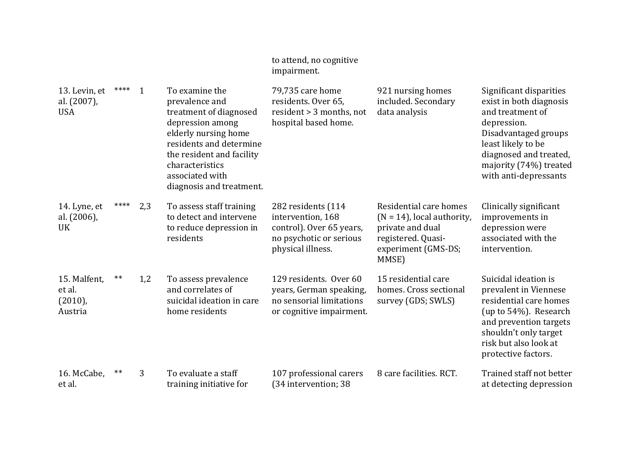|                                                 |       |              |                                                                                                                                                                                                                                  | to attend, no cognitive<br>impairment.                                                                              |                                                                                                                                   |                                                                                                                                                                                                                  |
|-------------------------------------------------|-------|--------------|----------------------------------------------------------------------------------------------------------------------------------------------------------------------------------------------------------------------------------|---------------------------------------------------------------------------------------------------------------------|-----------------------------------------------------------------------------------------------------------------------------------|------------------------------------------------------------------------------------------------------------------------------------------------------------------------------------------------------------------|
| 13. Levin, et<br>al. (2007),<br><b>USA</b>      | ****  | $\mathbf{1}$ | To examine the<br>prevalence and<br>treatment of diagnosed<br>depression among<br>elderly nursing home<br>residents and determine<br>the resident and facility<br>characteristics<br>associated with<br>diagnosis and treatment. | 79,735 care home<br>residents. Over 65,<br>resident > 3 months, not<br>hospital based home.                         | 921 nursing homes<br>included. Secondary<br>data analysis                                                                         | Significant disparities<br>exist in both diagnosis<br>and treatment of<br>depression.<br>Disadvantaged groups<br>least likely to be<br>diagnosed and treated,<br>majority (74%) treated<br>with anti-depressants |
| 14. Lyne, et<br>al. (2006),<br><b>UK</b>        | ****  | 2,3          | To assess staff training<br>to detect and intervene<br>to reduce depression in<br>residents                                                                                                                                      | 282 residents (114<br>intervention, 168<br>control). Over 65 years,<br>no psychotic or serious<br>physical illness. | Residential care homes<br>$(N = 14)$ , local authority,<br>private and dual<br>registered. Quasi-<br>experiment (GMS-DS;<br>MMSE) | Clinically significant<br>improvements in<br>depression were<br>associated with the<br>intervention.                                                                                                             |
| 15. Malfent,<br>et al.<br>$(2010)$ ,<br>Austria | $***$ | 1,2          | To assess prevalence<br>and correlates of<br>suicidal ideation in care<br>home residents                                                                                                                                         | 129 residents. Over 60<br>years, German speaking,<br>no sensorial limitations<br>or cognitive impairment.           | 15 residential care<br>homes. Cross sectional<br>survey (GDS; SWLS)                                                               | Suicidal ideation is<br>prevalent in Viennese<br>residential care homes<br>(up to 54%). Research<br>and prevention targets<br>shouldn't only target<br>risk but also look at<br>protective factors.              |
| 16. McCabe,<br>et al.                           | $***$ | 3            | To evaluate a staff<br>training initiative for                                                                                                                                                                                   | 107 professional carers<br>(34 intervention; 38                                                                     | 8 care facilities. RCT.                                                                                                           | Trained staff not better<br>at detecting depression                                                                                                                                                              |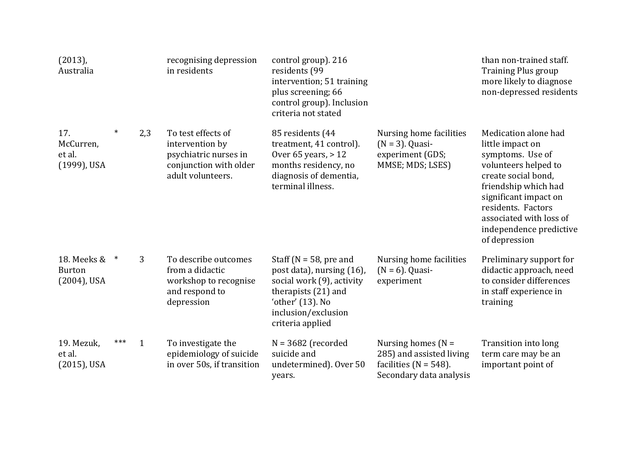| $(2013)$ ,<br>Australia                        |        |              | recognising depression<br>in residents                                                                        | control group). 216<br>residents (99<br>intervention; 51 training<br>plus screening; 66<br>control group). Inclusion<br>criteria not stated                                |                                                                                                          | than non-trained staff.<br><b>Training Plus group</b><br>more likely to diagnose<br>non-depressed residents                                                                                                                                               |
|------------------------------------------------|--------|--------------|---------------------------------------------------------------------------------------------------------------|----------------------------------------------------------------------------------------------------------------------------------------------------------------------------|----------------------------------------------------------------------------------------------------------|-----------------------------------------------------------------------------------------------------------------------------------------------------------------------------------------------------------------------------------------------------------|
| 17.<br>McCurren,<br>et al.<br>(1999), USA      | $\ast$ | 2,3          | To test effects of<br>intervention by<br>psychiatric nurses in<br>conjunction with older<br>adult volunteers. | 85 residents (44<br>treatment, 41 control).<br>Over 65 years, $> 12$<br>months residency, no<br>diagnosis of dementia,<br>terminal illness.                                | Nursing home facilities<br>$(N = 3)$ . Quasi-<br>experiment (GDS;<br>MMSE; MDS; LSES)                    | Medication alone had<br>little impact on<br>symptoms. Use of<br>volunteers helped to<br>create social bond.<br>friendship which had<br>significant impact on<br>residents. Factors<br>associated with loss of<br>independence predictive<br>of depression |
| 18. Meeks &<br><b>Burton</b><br>$(2004)$ , USA | ∗      | 3            | To describe outcomes<br>from a didactic<br>workshop to recognise<br>and respond to<br>depression              | Staff ( $N = 58$ , pre and<br>post data), nursing (16),<br>social work (9), activity<br>therapists (21) and<br>'other' (13). No<br>inclusion/exclusion<br>criteria applied | Nursing home facilities<br>$(N = 6)$ . Quasi-<br>experiment                                              | Preliminary support for<br>didactic approach, need<br>to consider differences<br>in staff experience in<br>training                                                                                                                                       |
| 19. Mezuk,<br>et al.<br>$(2015)$ , USA         | ***    | $\mathbf{1}$ | To investigate the<br>epidemiology of suicide<br>in over 50s, if transition                                   | $N = 3682$ (recorded<br>suicide and<br>undetermined). Over 50<br>years.                                                                                                    | Nursing homes $(N =$<br>285) and assisted living<br>facilities ( $N = 548$ ).<br>Secondary data analysis | Transition into long<br>term care may be an<br>important point of                                                                                                                                                                                         |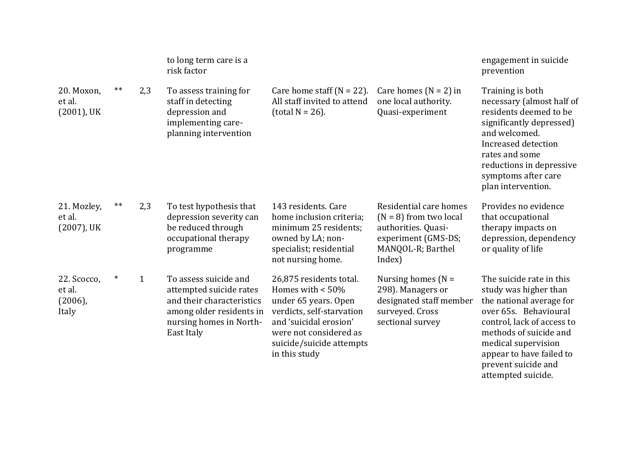|                                              |        |              | to long term care is a<br>risk factor                                                                                                              |                                                                                                                                                                                                      |                                                                                                                                 | engagement in suicide<br>prevention                                                                                                                                                                                                                            |
|----------------------------------------------|--------|--------------|----------------------------------------------------------------------------------------------------------------------------------------------------|------------------------------------------------------------------------------------------------------------------------------------------------------------------------------------------------------|---------------------------------------------------------------------------------------------------------------------------------|----------------------------------------------------------------------------------------------------------------------------------------------------------------------------------------------------------------------------------------------------------------|
| 20. Moxon,<br>et al.<br>$(2001)$ , UK        | $**$   | 2,3          | To assess training for<br>staff in detecting<br>depression and<br>implementing care-<br>planning intervention                                      | Care home staff ( $N = 22$ ).<br>All staff invited to attend<br>(total $N = 26$ ).                                                                                                                   | Care homes $(N = 2)$ in<br>one local authority.<br>Quasi-experiment                                                             | Training is both<br>necessary (almost half of<br>residents deemed to be<br>significantly depressed)<br>and welcomed.<br>Increased detection<br>rates and some<br>reductions in depressive<br>symptoms after care<br>plan intervention.                         |
| 21. Mozley,<br>et al.<br>$(2007)$ , UK       | $***$  | 2,3          | To test hypothesis that<br>depression severity can<br>be reduced through<br>occupational therapy<br>programme                                      | 143 residents. Care<br>home inclusion criteria;<br>minimum 25 residents;<br>owned by LA; non-<br>specialist; residential<br>not nursing home.                                                        | Residential care homes<br>$(N = 8)$ from two local<br>authorities. Quasi-<br>experiment (GMS-DS;<br>MANQOL-R; Barthel<br>Index) | Provides no evidence<br>that occupational<br>therapy impacts on<br>depression, dependency<br>or quality of life                                                                                                                                                |
| 22. Scocco,<br>et al.<br>$(2006)$ ,<br>Italy | $\ast$ | $\mathbf{1}$ | To assess suicide and<br>attempted suicide rates<br>and their characteristics<br>among older residents in<br>nursing homes in North-<br>East Italy | 26,875 residents total.<br>Homes with $< 50\%$<br>under 65 years. Open<br>verdicts, self-starvation<br>and 'suicidal erosion'<br>were not considered as<br>suicide/suicide attempts<br>in this study | Nursing homes $(N =$<br>298). Managers or<br>designated staff member<br>surveyed. Cross<br>sectional survey                     | The suicide rate in this<br>study was higher than<br>the national average for<br>over 65s. Behavioural<br>control, lack of access to<br>methods of suicide and<br>medical supervision<br>appear to have failed to<br>prevent suicide and<br>attempted suicide. |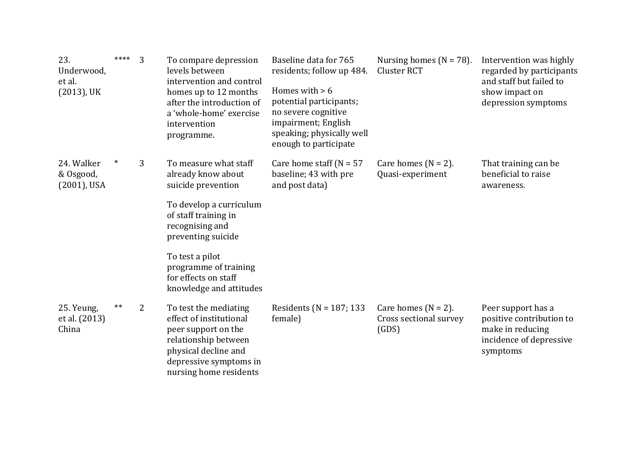| 23.<br>Underwood,<br>et al.<br>$(2013)$ , UK | ****   | 3              | To compare depression<br>levels between<br>intervention and control<br>homes up to 12 months<br>after the introduction of<br>a 'whole-home' exercise<br>intervention<br>programme. | Baseline data for 765<br>residents; follow up 484.<br>Homes with $> 6$<br>potential participants;<br>no severe cognitive<br>impairment; English<br>speaking; physically well<br>enough to participate | Nursing homes ( $N = 78$ ).<br><b>Cluster RCT</b>         | Intervention was highly<br>regarded by participants<br>and staff but failed to<br>show impact on<br>depression symptoms |
|----------------------------------------------|--------|----------------|------------------------------------------------------------------------------------------------------------------------------------------------------------------------------------|-------------------------------------------------------------------------------------------------------------------------------------------------------------------------------------------------------|-----------------------------------------------------------|-------------------------------------------------------------------------------------------------------------------------|
| 24. Walker<br>& Osgood,<br>$(2001)$ , USA    | $\ast$ | 3              | To measure what staff<br>already know about<br>suicide prevention<br>To develop a curriculum<br>of staff training in                                                               | Care home staff ( $N = 57$<br>baseline; 43 with pre<br>and post data)                                                                                                                                 | Care homes $(N = 2)$ .<br>Quasi-experiment                | That training can be<br>beneficial to raise<br>awareness.                                                               |
|                                              |        |                | recognising and<br>preventing suicide<br>To test a pilot<br>programme of training<br>for effects on staff<br>knowledge and attitudes                                               |                                                                                                                                                                                                       |                                                           |                                                                                                                         |
| 25. Yeung,<br>et al. (2013)<br>China         | $***$  | $\overline{2}$ | To test the mediating<br>effect of institutional<br>peer support on the<br>relationship between<br>physical decline and<br>depressive symptoms in<br>nursing home residents        | Residents ( $N = 187$ ; 133<br>female)                                                                                                                                                                | Care homes $(N = 2)$ .<br>Cross sectional survey<br>(GDS) | Peer support has a<br>positive contribution to<br>make in reducing<br>incidence of depressive<br>symptoms               |